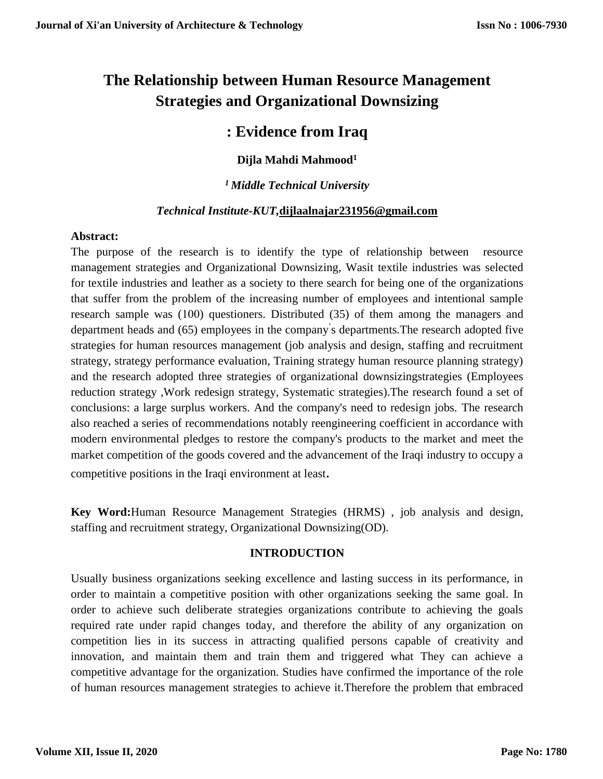# **The Relationship between Human Resource Management Strategies and Organizational Downsizing**

# **: Evidence from Iraq**

# **Dijla Mahdi Mahmood 1**

# *<sup>1</sup>Middle Technical University*

# *Technical Institute-KUT,***[dijlaalnajar231956@gmail.com](mailto:dijlaalnajar231956@gmail.com)**

# **Abstract:**

The purpose of the research is to identify the type of relationship between resource management strategies and Organizational Downsizing, Wasit textile industries was selected for textile industries and leather as a society to there search for being one of the organizations that suffer from the problem of the increasing number of employees and intentional sample research sample was (100) questioners. Distributed (35) of them among the managers and department heads and (65) employees in the company' s departments.The research adopted five strategies for human resources management (job analysis and design, staffing and recruitment strategy, strategy performance evaluation, Training strategy human resource planning strategy) and the research adopted three strategies of organizational downsizingstrategies (Employees reduction strategy ,Work redesign strategy, Systematic strategies).The research found a set of conclusions: a large surplus workers. And the company's need to redesign jobs. The research also reached a series of recommendations notably reengineering coefficient in accordance with modern environmental pledges to restore the company's products to the market and meet the market competition of the goods covered and the advancement of the Iraqi industry to occupy a competitive positions in the Iraqi environment at least.

**Key Word:**Human Resource Management Strategies (HRMS) , job analysis and design, staffing and recruitment strategy, Organizational Downsizing(OD).

# **INTRODUCTION**

Usually business organizations seeking excellence and lasting success in its performance, in order to maintain a competitive position with other organizations seeking the same goal. In order to achieve such deliberate strategies organizations contribute to achieving the goals required rate under rapid changes today, and therefore the ability of any organization on competition lies in its success in attracting qualified persons capable of creativity and innovation, and maintain them and train them and triggered what They can achieve a competitive advantage for the organization. Studies have confirmed the importance of the role of human resources management strategies to achieve it.Therefore the problem that embraced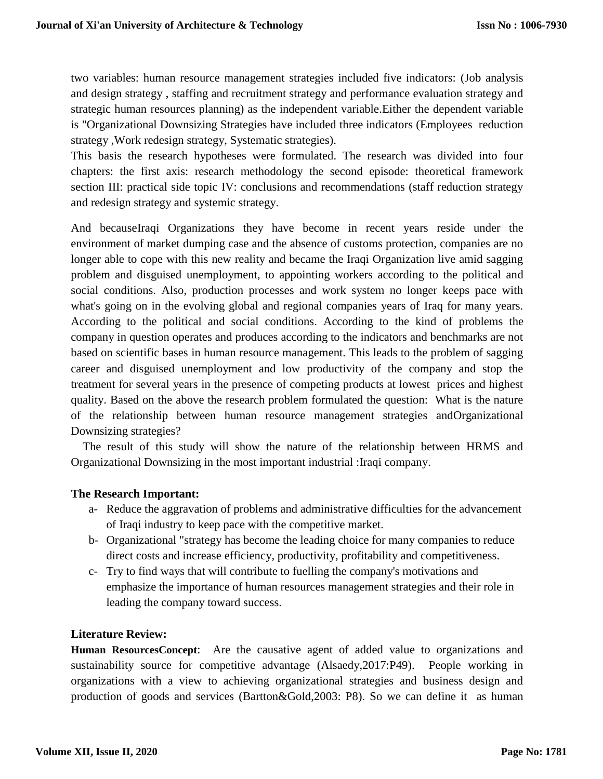two variables: human resource management strategies included five indicators: (Job analysis and design strategy , staffing and recruitment strategy and performance evaluation strategy and strategic human resources planning) as the independent variable.Either the dependent variable is "Organizational Downsizing Strategies have included three indicators (Employees reduction strategy ,Work redesign strategy, Systematic strategies).

This basis the research hypotheses were formulated. The research was divided into four chapters: the first axis: research methodology the second episode: theoretical framework section III: practical side topic IV: conclusions and recommendations (staff reduction strategy and redesign strategy and systemic strategy.

And becauseIraqi Organizations they have become in recent years reside under the environment of market dumping case and the absence of customs protection, companies are no longer able to cope with this new reality and became the Iraqi Organization live amid sagging problem and disguised unemployment, to appointing workers according to the political and social conditions. Also, production processes and work system no longer keeps pace with what's going on in the evolving global and regional companies years of Iraq for many years. According to the political and social conditions. According to the kind of problems the company in question operates and produces according to the indicators and benchmarks are not based on scientific bases in human resource management. This leads to the problem of sagging career and disguised unemployment and low productivity of the company and stop the treatment for several years in the presence of competing products at lowest prices and highest quality. Based on the above the research problem formulated the question: What is the nature of the relationship between human resource management strategies andOrganizational Downsizing strategies?

 The result of this study will show the nature of the relationship between HRMS and Organizational Downsizing in the most important industrial :Iraqi company.

## **The Research Important:**

- a- Reduce the aggravation of problems and administrative difficulties for the advancement of Iraqi industry to keep pace with the competitive market.
- b- Organizational "strategy has become the leading choice for many companies to reduce direct costs and increase efficiency, productivity, profitability and competitiveness.
- c- Try to find ways that will contribute to fuelling the company's motivations and emphasize the importance of human resources management strategies and their role in leading the company toward success.

## **Literature Review:**

**Human ResourcesConcept**: Are the causative agent of added value to organizations and sustainability source for competitive advantage (Alsaedy,2017:P49). People working in organizations with a view to achieving organizational strategies and business design and production of goods and services (Bartton&Gold,2003: P8). So we can define it as human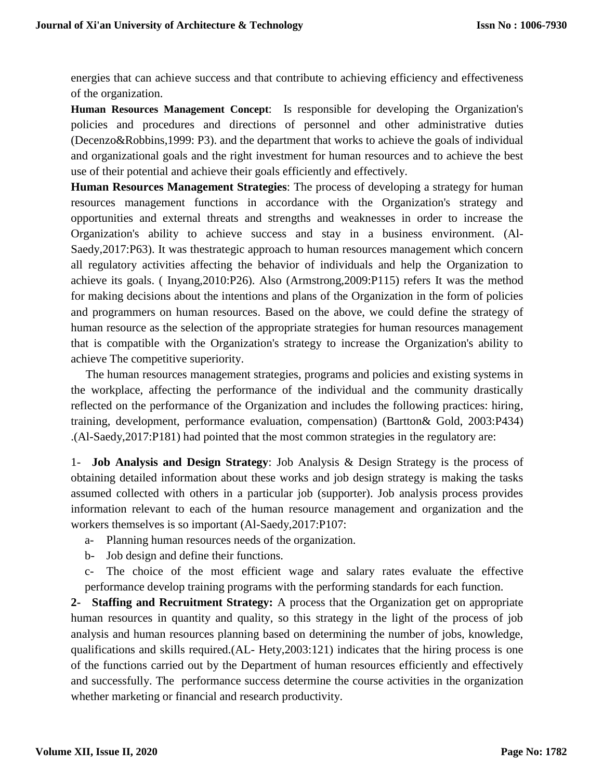energies that can achieve success and that contribute to achieving efficiency and effectiveness of the organization.

**Human Resources Management Concept**: Is responsible for developing the Organization's policies and procedures and directions of personnel and other administrative duties (Decenzo&Robbins,1999: P3). and the department that works to achieve the goals of individual and organizational goals and the right investment for human resources and to achieve the best use of their potential and achieve their goals efficiently and effectively.

**Human Resources Management Strategies**: The process of developing a strategy for human resources management functions in accordance with the Organization's strategy and opportunities and external threats and strengths and weaknesses in order to increase the Organization's ability to achieve success and stay in a business environment. (Al-Saedy,2017:P63). It was thestrategic approach to human resources management which concern all regulatory activities affecting the behavior of individuals and help the Organization to achieve its goals. ( Inyang,2010:P26). Also (Armstrong,2009:P115) refers It was the method for making decisions about the intentions and plans of the Organization in the form of policies and programmers on human resources. Based on the above, we could define the strategy of human resource as the selection of the appropriate strategies for human resources management that is compatible with the Organization's strategy to increase the Organization's ability to achieve The competitive superiority.

 The human resources management strategies, programs and policies and existing systems in the workplace, affecting the performance of the individual and the community drastically reflected on the performance of the Organization and includes the following practices: hiring, training, development, performance evaluation, compensation) (Bartton& Gold, 2003:P434) .(Al-Saedy,2017:P181) had pointed that the most common strategies in the regulatory are:

1- **Job Analysis and Design Strategy**: Job Analysis & Design Strategy is the process of obtaining detailed information about these works and job design strategy is making the tasks assumed collected with others in a particular job (supporter). Job analysis process provides information relevant to each of the human resource management and organization and the workers themselves is so important (Al-Saedy,2017:P107:

- a- Planning human resources needs of the organization.
- b- Job design and define their functions.
- c- The choice of the most efficient wage and salary rates evaluate the effective performance develop training programs with the performing standards for each function.

**2- Staffing and Recruitment Strategy:** A process that the Organization get on appropriate human resources in quantity and quality, so this strategy in the light of the process of job analysis and human resources planning based on determining the number of jobs, knowledge, qualifications and skills required.(AL- Hety,2003:121) indicates that the hiring process is one of the functions carried out by the Department of human resources efficiently and effectively and successfully. The performance success determine the course activities in the organization whether marketing or financial and research productivity.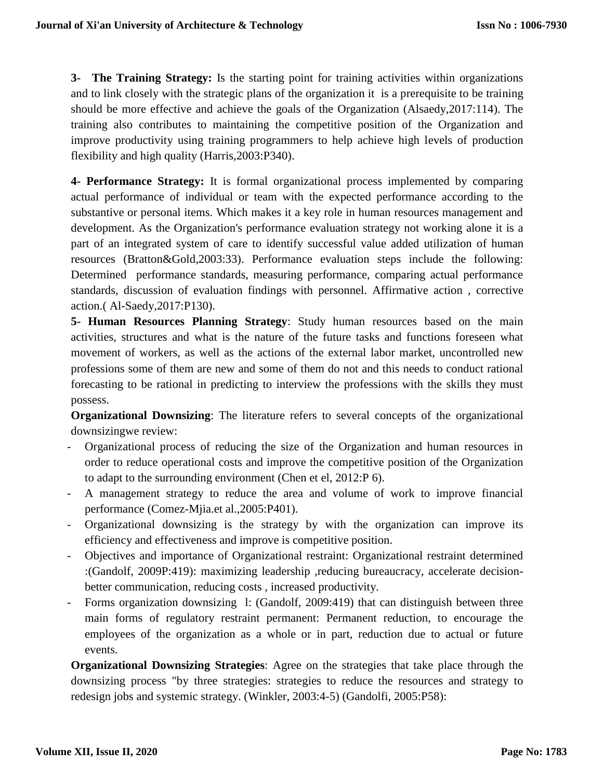**3- The Training Strategy:** Is the starting point for training activities within organizations and to link closely with the strategic plans of the organization it is a prerequisite to be training should be more effective and achieve the goals of the Organization (Alsaedy,2017:114). The training also contributes to maintaining the competitive position of the Organization and improve productivity using training programmers to help achieve high levels of production flexibility and high quality (Harris,2003:P340).

**4- Performance Strategy:** It is formal organizational process implemented by comparing actual performance of individual or team with the expected performance according to the substantive or personal items. Which makes it a key role in human resources management and development. As the Organization's performance evaluation strategy not working alone it is a part of an integrated system of care to identify successful value added utilization of human resources (Bratton&Gold,2003:33). Performance evaluation steps include the following: Determined performance standards, measuring performance, comparing actual performance standards, discussion of evaluation findings with personnel. Affirmative action , corrective action.( Al-Saedy,2017:P130).

**5- Human Resources Planning Strategy**: Study human resources based on the main activities, structures and what is the nature of the future tasks and functions foreseen what movement of workers, as well as the actions of the external labor market, uncontrolled new professions some of them are new and some of them do not and this needs to conduct rational forecasting to be rational in predicting to interview the professions with the skills they must possess.

**Organizational Downsizing:** The literature refers to several concepts of the organizational downsizingwe review:

- Organizational process of reducing the size of the Organization and human resources in order to reduce operational costs and improve the competitive position of the Organization to adapt to the surrounding environment (Chen et el, 2012:P 6).
- A management strategy to reduce the area and volume of work to improve financial performance (Comez-Mjia.et al.,2005:P401).
- Organizational downsizing is the strategy by with the organization can improve its efficiency and effectiveness and improve is competitive position.
- Objectives and importance of Organizational restraint: Organizational restraint determined :(Gandolf, 2009P:419): maximizing leadership ,reducing bureaucracy, accelerate decisionbetter communication, reducing costs , increased productivity.
- Forms organization downsizing l: (Gandolf, 2009:419) that can distinguish between three main forms of regulatory restraint permanent: Permanent reduction, to encourage the employees of the organization as a whole or in part, reduction due to actual or future events.

**Organizational Downsizing Strategies**: Agree on the strategies that take place through the downsizing process "by three strategies: strategies to reduce the resources and strategy to redesign jobs and systemic strategy. (Winkler, 2003:4-5) (Gandolfi, 2005:P58):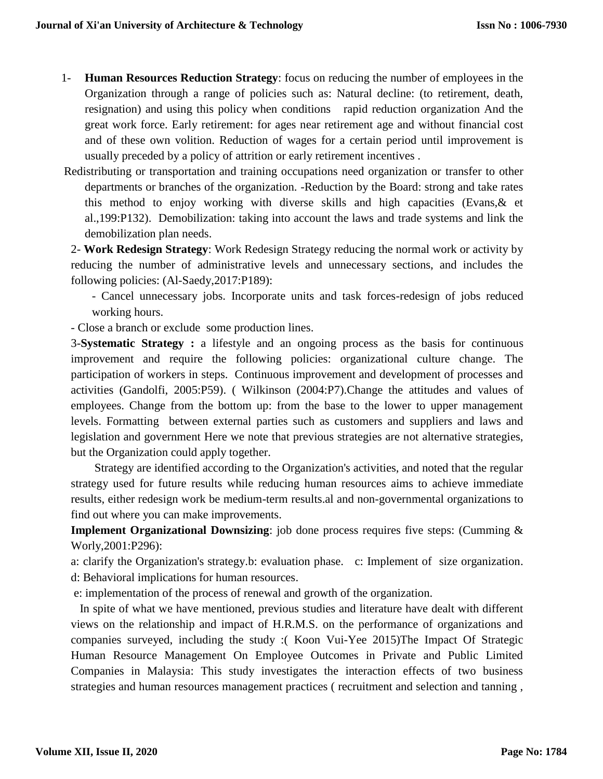- 1- **Human Resources Reduction Strategy**: focus on reducing the number of employees in the Organization through a range of policies such as: Natural decline: (to retirement, death, resignation) and using this policy when conditions rapid reduction organization And the great work force. Early retirement: for ages near retirement age and without financial cost and of these own volition. Reduction of wages for a certain period until improvement is usually preceded by a policy of attrition or early retirement incentives .
- Redistributing or transportation and training occupations need organization or transfer to other departments or branches of the organization. -Reduction by the Board: strong and take rates this method to enjoy working with diverse skills and high capacities (Evans,& et al.,199:P132). Demobilization: taking into account the laws and trade systems and link the demobilization plan needs.

2- **Work Redesign Strategy**: Work Redesign Strategy reducing the normal work or activity by reducing the number of administrative levels and unnecessary sections, and includes the following policies: (Al-Saedy,2017:P189):

- Cancel unnecessary jobs. Incorporate units and task forces-redesign of jobs reduced working hours.

- Close a branch or exclude some production lines.

3-**Systematic Strategy :** a lifestyle and an ongoing process as the basis for continuous improvement and require the following policies: organizational culture change. The participation of workers in steps. Continuous improvement and development of processes and activities (Gandolfi, 2005:P59). ( Wilkinson (2004:P7).Change the attitudes and values of employees. Change from the bottom up: from the base to the lower to upper management levels. Formatting between external parties such as customers and suppliers and laws and legislation and government Here we note that previous strategies are not alternative strategies, but the Organization could apply together.

 Strategy are identified according to the Organization's activities, and noted that the regular strategy used for future results while reducing human resources aims to achieve immediate results, either redesign work be medium-term results.al and non-governmental organizations to find out where you can make improvements.

**Implement Organizational Downsizing**: job done process requires five steps: (Cumming & Worly,2001:P296):

a: clarify the Organization's strategy.b: evaluation phase. c: Implement of size organization. d: Behavioral implications for human resources.

e: implementation of the process of renewal and growth of the organization.

 In spite of what we have mentioned, previous studies and literature have dealt with different views on the relationship and impact of H.R.M.S. on the performance of organizations and companies surveyed, including the study :( Koon Vui-Yee 2015)The Impact Of Strategic Human Resource Management On Employee Outcomes in Private and Public Limited Companies in Malaysia: This study investigates the interaction effects of two business strategies and human resources management practices ( recruitment and selection and tanning ,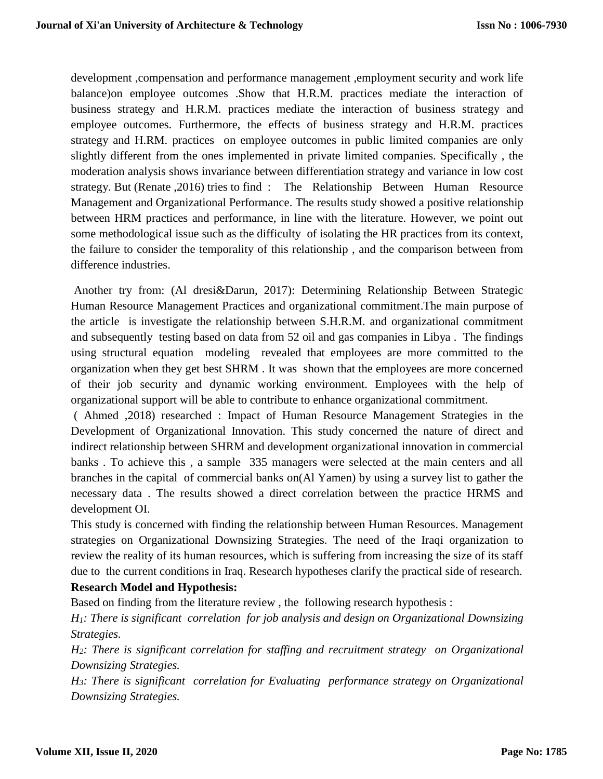development ,compensation and performance management ,employment security and work life balance)on employee outcomes .Show that H.R.M. practices mediate the interaction of business strategy and H.R.M. practices mediate the interaction of business strategy and employee outcomes. Furthermore, the effects of business strategy and H.R.M. practices strategy and H.RM. practices on employee outcomes in public limited companies are only slightly different from the ones implemented in private limited companies. Specifically , the moderation analysis shows invariance between differentiation strategy and variance in low cost strategy. But (Renate ,2016) tries to find : The Relationship Between Human Resource Management and Organizational Performance. The results study showed a positive relationship between HRM practices and performance, in line with the literature. However, we point out some methodological issue such as the difficulty of isolating the HR practices from its context, the failure to consider the temporality of this relationship , and the comparison between from difference industries.

Another try from: (Al dresi&Darun, 2017): Determining Relationship Between Strategic Human Resource Management Practices and organizational commitment.The main purpose of the article is investigate the relationship between S.H.R.M. and organizational commitment and subsequently testing based on data from 52 oil and gas companies in Libya . The findings using structural equation modeling revealed that employees are more committed to the organization when they get best SHRM . It was shown that the employees are more concerned of their job security and dynamic working environment. Employees with the help of organizational support will be able to contribute to enhance organizational commitment.

( Ahmed ,2018) researched : Impact of Human Resource Management Strategies in the Development of Organizational Innovation. This study concerned the nature of direct and indirect relationship between SHRM and development organizational innovation in commercial banks . To achieve this , a sample 335 managers were selected at the main centers and all branches in the capital of commercial banks on(Al Yamen) by using a survey list to gather the necessary data . The results showed a direct correlation between the practice HRMS and development OI.

This study is concerned with finding the relationship between Human Resources. Management strategies on Organizational Downsizing Strategies. The need of the Iraqi organization to review the reality of its human resources, which is suffering from increasing the size of its staff due to the current conditions in Iraq. Research hypotheses clarify the practical side of research. **Research Model and Hypothesis:**

Based on finding from the literature review , the following research hypothesis :

*H1: There is significant correlation for job analysis and design on Organizational Downsizing Strategies.*

*H2: There is significant correlation for staffing and recruitment strategy on Organizational Downsizing Strategies.*

*H3: There is significant correlation for Evaluating performance strategy on Organizational Downsizing Strategies.*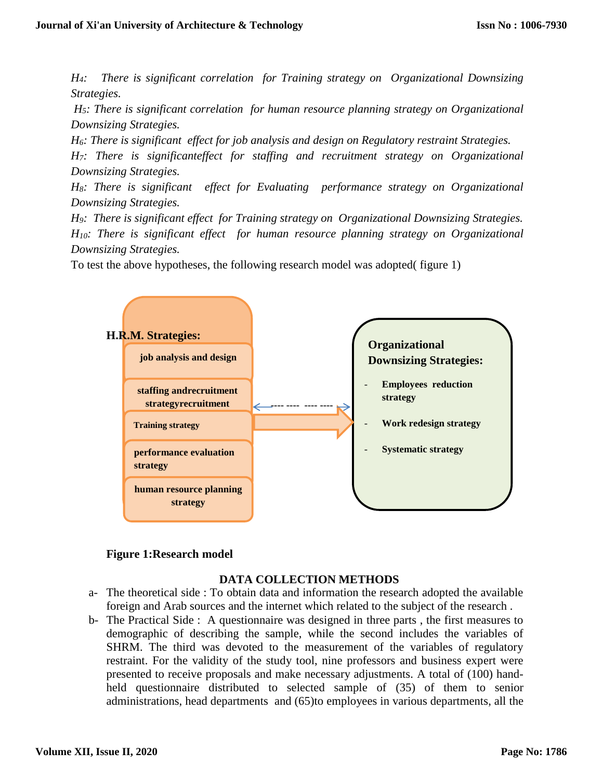*H4: There is significant correlation for Training strategy on Organizational Downsizing Strategies.*

*H5: There is significant correlation for human resource planning strategy on Organizational Downsizing Strategies.*

*H6: There is significant effect for job analysis and design on Regulatory restraint Strategies.*

*H7: There is significanteffect for staffing and recruitment strategy on Organizational Downsizing Strategies.*

*H8: There is significant effect for Evaluating performance strategy on Organizational Downsizing Strategies.*

*H9: There is significant effect for Training strategy on Organizational Downsizing Strategies. H10: There is significant effect for human resource planning strategy on Organizational Downsizing Strategies.*

To test the above hypotheses, the following research model was adopted( figure 1)



## **Figure 1:Research model**

# **DATA COLLECTION METHODS**

- a- The theoretical side : To obtain data and information the research adopted the available foreign and Arab sources and the internet which related to the subject of the research .
- b- The Practical Side : A questionnaire was designed in three parts , the first measures to demographic of describing the sample, while the second includes the variables of SHRM. The third was devoted to the measurement of the variables of regulatory restraint. For the validity of the study tool, nine professors and business expert were presented to receive proposals and make necessary adjustments. A total of (100) handheld questionnaire distributed to selected sample of (35) of them to senior administrations, head departments and (65)to employees in various departments, all the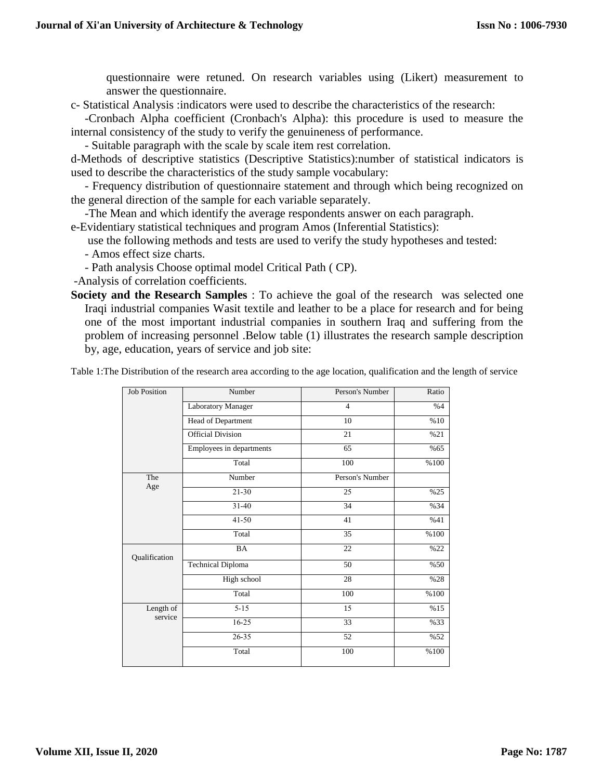questionnaire were retuned. On research variables using (Likert) measurement to answer the questionnaire.

c- Statistical Analysis :indicators were used to describe the characteristics of the research:

-Cronbach Alpha coefficient (Cronbach's Alpha): this procedure is used to measure the internal consistency of the study to verify the genuineness of performance.

- Suitable paragraph with the scale by scale item rest correlation.

d-Methods of descriptive statistics (Descriptive Statistics):number of statistical indicators is used to describe the characteristics of the study sample vocabulary:

- Frequency distribution of questionnaire statement and through which being recognized on the general direction of the sample for each variable separately.

-The Mean and which identify the average respondents answer on each paragraph.

e-Evidentiary statistical techniques and program Amos (Inferential Statistics):

use the following methods and tests are used to verify the study hypotheses and tested:

- Amos effect size charts.

- Path analysis Choose optimal model Critical Path ( CP).

-Analysis of correlation coefficients.

**Society and the Research Samples** : To achieve the goal of the research was selected one Iraqi industrial companies Wasit textile and leather to be a place for research and for being one of the most important industrial companies in southern Iraq and suffering from the problem of increasing personnel .Below table (1) illustrates the research sample description by, age, education, years of service and job site:

Table 1:The Distribution of the research area according to the age location, qualification and the length of service

| <b>Job Position</b> | Number                   | Person's Number | Ratio |
|---------------------|--------------------------|-----------------|-------|
|                     | Laboratory Manager       | $\overline{4}$  | %4    |
|                     | Head of Department       | 10              | %10   |
|                     | <b>Official Division</b> | 21              | %21   |
|                     | Employees in departments | 65              | %65   |
|                     | Total                    | 100             | %100  |
| The                 | Number                   | Person's Number |       |
| Age                 | $21 - 30$                | 25              | %25   |
|                     | $31 - 40$                | 34              | %34   |
|                     | $41 - 50$                | 41              | %41   |
|                     | Total                    | 35              | %100  |
| Qualification       | BA                       | 22              | %22   |
|                     | <b>Technical Diploma</b> | 50              | %50   |
|                     | High school              | 28              | %28   |
|                     | Total                    | 100             | %100  |
| Length of           | $5 - 15$                 | 15              | %15   |
| service             | $16-25$                  | 33              | %33   |
|                     | $26 - 35$                | 52              | %52   |
|                     | Total                    | 100             | %100  |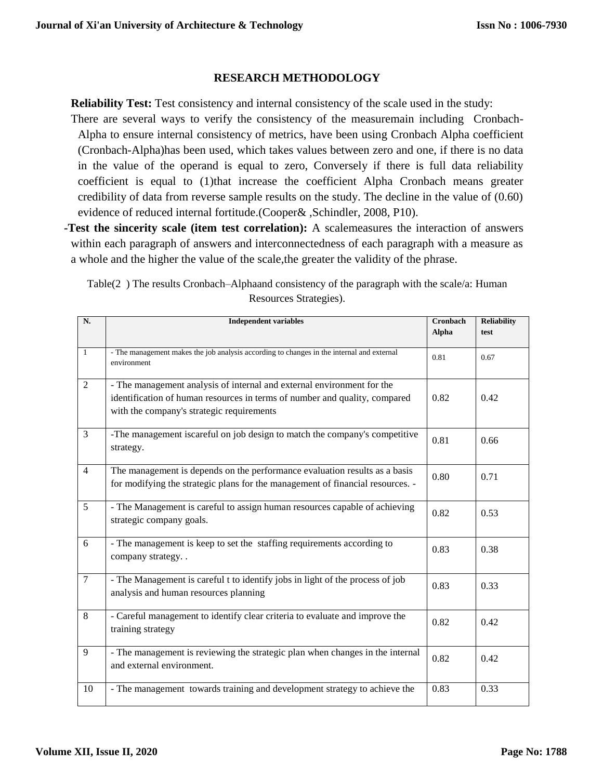## **RESEARCH METHODOLOGY**

**Reliability Test:** Test consistency and internal consistency of the scale used in the study: There are several ways to verify the consistency of the measuremain including Cronbach-Alpha to ensure internal consistency of metrics, have been using Cronbach Alpha coefficient (Cronbach-Alpha)has been used, which takes values between zero and one, if there is no data in the value of the operand is equal to zero, Conversely if there is full data reliability coefficient is equal to (1)that increase the coefficient Alpha Cronbach means greater credibility of data from reverse sample results on the study. The decline in the value of (0.60) evidence of reduced internal fortitude.(Cooper& ,Schindler, 2008, P10).

**-Test the sincerity scale (item test correlation):** A scalemeasures the interaction of answers within each paragraph of answers and interconnectedness of each paragraph with a measure as a whole and the higher the value of the scale,the greater the validity of the phrase.

| Table(2) The results Cronbach–Alphaand consistency of the paragraph with the scale/a: Human |  |
|---------------------------------------------------------------------------------------------|--|
| Resources Strategies).                                                                      |  |

| N.             | <b>Independent variables</b>                                                                                                                                                                      | Cronbach<br>Alpha | <b>Reliability</b><br>test |
|----------------|---------------------------------------------------------------------------------------------------------------------------------------------------------------------------------------------------|-------------------|----------------------------|
|                |                                                                                                                                                                                                   |                   |                            |
| $\mathbf{1}$   | - The management makes the job analysis according to changes in the internal and external<br>environment                                                                                          | 0.81              | 0.67                       |
| $\overline{2}$ | - The management analysis of internal and external environment for the<br>identification of human resources in terms of number and quality, compared<br>with the company's strategic requirements | 0.82              | 0.42                       |
| $\overline{3}$ | -The management iscareful on job design to match the company's competitive<br>strategy.                                                                                                           | 0.81              | 0.66                       |
| $\overline{4}$ | The management is depends on the performance evaluation results as a basis<br>for modifying the strategic plans for the management of financial resources. -                                      | 0.80              | 0.71                       |
| $\overline{5}$ | - The Management is careful to assign human resources capable of achieving<br>strategic company goals.                                                                                            | 0.82              | 0.53                       |
| 6              | - The management is keep to set the staffing requirements according to<br>company strategy. .                                                                                                     | 0.83              | 0.38                       |
| $\overline{7}$ | - The Management is careful t to identify jobs in light of the process of job<br>analysis and human resources planning                                                                            | 0.83              | 0.33                       |
| 8              | - Careful management to identify clear criteria to evaluate and improve the<br>training strategy                                                                                                  | 0.82              | 0.42                       |
| $\overline{9}$ | - The management is reviewing the strategic plan when changes in the internal<br>and external environment.                                                                                        | 0.82              | 0.42                       |
| 10             | - The management towards training and development strategy to achieve the                                                                                                                         | 0.83              | 0.33                       |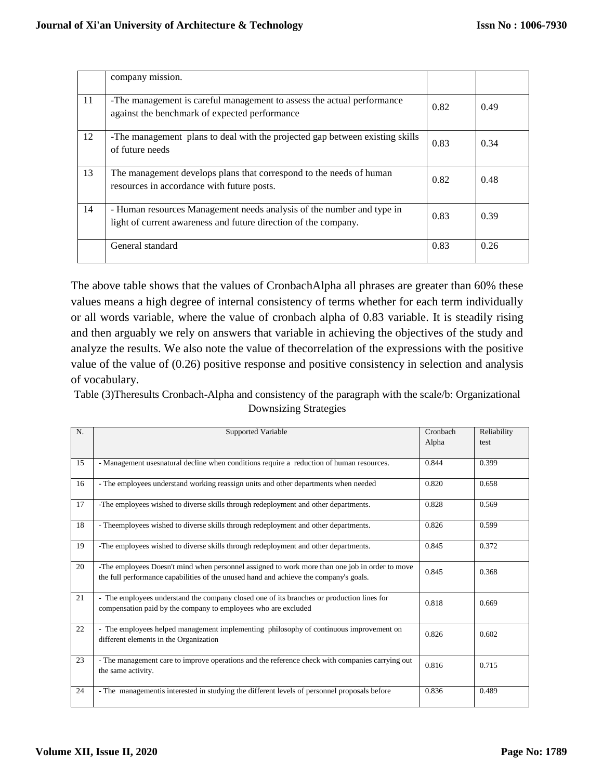|    | company mission.                                                                                                                         |      |      |
|----|------------------------------------------------------------------------------------------------------------------------------------------|------|------|
| 11 | -The management is careful management to assess the actual performance<br>against the benchmark of expected performance                  | 0.82 | 0.49 |
| 12 | -The management plans to deal with the projected gap between existing skills<br>of future needs                                          | 0.83 | 0.34 |
| 13 | The management develops plans that correspond to the needs of human<br>resources in accordance with future posts.                        | 0.82 | 0.48 |
| 14 | - Human resources Management needs analysis of the number and type in<br>light of current awareness and future direction of the company. | 0.83 | 0.39 |
|    | General standard                                                                                                                         | 0.83 | 0.26 |

The above table shows that the values of CronbachAlpha all phrases are greater than 60% these values means a high degree of internal consistency of terms whether for each term individually or all words variable, where the value of cronbach alpha of 0.83 variable. It is steadily rising and then arguably we rely on answers that variable in achieving the objectives of the study and analyze the results. We also note the value of thecorrelation of the expressions with the positive value of the value of (0.26) positive response and positive consistency in selection and analysis of vocabulary.

Table (3)Theresults Cronbach-Alpha and consistency of the paragraph with the scale/b: Organizational Downsizing Strategies

| N. | Supported Variable                                                                                                                                                                      | Cronbach | Reliability |
|----|-----------------------------------------------------------------------------------------------------------------------------------------------------------------------------------------|----------|-------------|
|    |                                                                                                                                                                                         | Alpha    | test        |
| 15 | - Management uses natural decline when conditions require a reduction of human resources.                                                                                               | 0.844    | 0.399       |
| 16 | - The employees understand working reassign units and other departments when needed                                                                                                     | 0.820    | 0.658       |
| 17 | -The employees wished to diverse skills through redeployment and other departments.                                                                                                     | 0.828    | 0.569       |
| 18 | - Theemployees wished to diverse skills through redeployment and other departments.                                                                                                     | 0.826    | 0.599       |
| 19 | -The employees wished to diverse skills through redeployment and other departments.                                                                                                     | 0.845    | 0.372       |
| 20 | -The employees Doesn't mind when personnel assigned to work more than one job in order to move<br>the full performance capabilities of the unused hand and achieve the company's goals. | 0.845    | 0.368       |
| 21 | - The employees understand the company closed one of its branches or production lines for<br>compensation paid by the company to employees who are excluded                             | 0.818    | 0.669       |
| 22 | - The employees helped management implementing philosophy of continuous improvement on<br>different elements in the Organization                                                        | 0.826    | 0.602       |
| 23 | - The management care to improve operations and the reference check with companies carrying out<br>the same activity.                                                                   | 0.816    | 0.715       |
| 24 | - The management is interested in studying the different levels of personnel proposals before                                                                                           | 0.836    | 0.489       |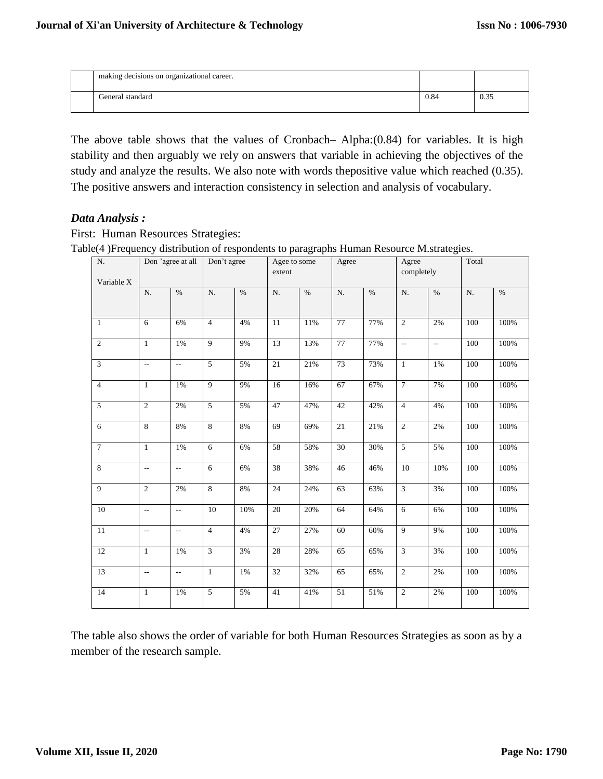| making decisions on organizational career. |      |                |
|--------------------------------------------|------|----------------|
| General standard                           | 0.84 | $\sim$<br>U.J. |

The above table shows that the values of Cronbach– Alpha:(0.84) for variables. It is high stability and then arguably we rely on answers that variable in achieving the objectives of the study and analyze the results. We also note with words thepositive value which reached (0.35). The positive answers and interaction consistency in selection and analysis of vocabulary.

## *Data Analysis :*

First: Human Resources Strategies: Table(4 )Frequency distribution of respondents to paragraphs Human Resource M.strategies.

| $\overline{\phantom{a}}$<br>N.<br>Variable $\mathbf X$ |                          | Don 'agree at all        | Don't agree     |       | л.<br>Agee to some<br>extent | $\sim$ 1 | Agree           |      | Agree<br>completely      |                | Total      |      |
|--------------------------------------------------------|--------------------------|--------------------------|-----------------|-------|------------------------------|----------|-----------------|------|--------------------------|----------------|------------|------|
|                                                        | N.                       | $\%$                     | ${\bf N}.$      | $\%$  | ${\bf N}.$                   | $\%$     | ${\bf N}.$      | $\%$ | ${\bf N}.$               | $\%$           | ${\bf N}.$ | $\%$ |
| $\mathbf{1}$                                           | 6                        | 6%                       | $\overline{4}$  | 4%    | 11                           | 11%      | 77              | 77%  | $\overline{2}$           | 2%             | 100        | 100% |
| $\overline{2}$                                         | $\mathbf{1}$             | 1%                       | 9               | 9%    | 13                           | 13%      | 77              | 77%  | $\overline{\phantom{a}}$ | $\mathbb{Z}^2$ | 100        | 100% |
| $\overline{3}$                                         | $\overline{\phantom{a}}$ | $\overline{\phantom{a}}$ | 5               | 5%    | 21                           | 21%      | 73              | 73%  | $\mathbf{1}$             | 1%             | 100        | 100% |
| $\overline{4}$                                         | $\mathbf{1}$             | 1%                       | $\overline{9}$  | 9%    | 16                           | 16%      | 67              | 67%  | $\overline{7}$           | 7%             | 100        | 100% |
| $\overline{5}$                                         | $\overline{2}$           | 2%                       | $\overline{5}$  | 5%    | 47                           | 47%      | 42              | 42%  | $\overline{4}$           | $4\%$          | 100        | 100% |
| 6                                                      | 8                        | 8%                       | $\overline{8}$  | 8%    | 69                           | 69%      | 21              | 21%  | $\overline{2}$           | 2%             | 100        | 100% |
| $\overline{7}$                                         | $\mathbf{1}$             | 1%                       | $\overline{6}$  | 6%    | 58                           | 58%      | $\overline{30}$ | 30%  | 5                        | 5%             | 100        | 100% |
| $\overline{8}$                                         | $\overline{\phantom{a}}$ | $\sim$                   | $6\,$           | 6%    | 38                           | 38%      | 46              | 46%  | 10                       | 10%            | 100        | 100% |
| $\overline{9}$                                         | $\overline{2}$           | 2%                       | $\overline{8}$  | 8%    | 24                           | 24%      | 63              | 63%  | $\overline{3}$           | 3%             | $100\,$    | 100% |
| 10                                                     | Щ.                       | $\overline{\phantom{a}}$ | $\overline{10}$ | 10%   | 20                           | 20%      | 64              | 64%  | $\overline{6}$           | 6%             | 100        | 100% |
| 11                                                     | $\qquad \qquad -$        | $\overline{a}$           | $\overline{4}$  | 4%    | 27                           | 27%      | 60              | 60%  | 9                        | 9%             | 100        | 100% |
| $\overline{12}$                                        | $\mathbf{1}$             | 1%                       | $\overline{3}$  | 3%    | 28                           | 28%      | 65              | 65%  | $\overline{3}$           | 3%             | 100        | 100% |
| 13                                                     | $\mathbb{L}^2$           | $\overline{\phantom{a}}$ | $1\,$           | $1\%$ | 32                           | 32%      | 65              | 65%  | $\overline{2}$           | $2\%$          | $100\,$    | 100% |
| 14                                                     | $\mathbf{1}$             | 1%                       | 5               | 5%    | 41                           | 41%      | 51              | 51%  | $\overline{2}$           | 2%             | 100        | 100% |

The table also shows the order of variable for both Human Resources Strategies as soon as by a member of the research sample.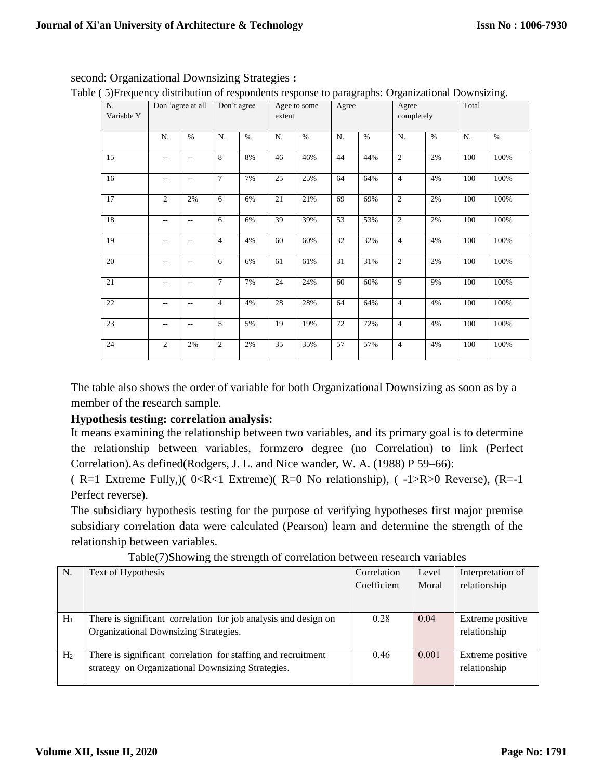| $\overline{ }$<br>N. |                | Don 'agree at all        |                | л.<br>Don't agree |                 | Agee to some | $\mathbf{r}$<br>Agree | ັ້   | ັ<br>Agree     |       | Total      | ັ    |
|----------------------|----------------|--------------------------|----------------|-------------------|-----------------|--------------|-----------------------|------|----------------|-------|------------|------|
| Variable Y           |                |                          |                |                   | extent          |              |                       |      | completely     |       |            |      |
|                      | N.             | $\%$                     | N.             | $\%$              | N.              | $\%$         | ${\bf N}.$            | $\%$ | N.             | $\%$  | ${\bf N}.$ | $\%$ |
| 15                   | $\overline{a}$ | $\overline{\phantom{a}}$ | $\overline{8}$ | 8%                | 46              | 46%          | 44                    | 44%  | $\overline{2}$ | 2%    | 100        | 100% |
| 16                   | $\overline{a}$ | $\overline{a}$           | $\overline{7}$ | 7%                | $\overline{25}$ | 25%          | 64                    | 64%  | $\overline{4}$ | 4%    | 100        | 100% |
| 17                   | $\overline{2}$ | 2%                       | 6              | 6%                | 21              | $21\%$       | 69                    | 69%  | $\overline{2}$ | 2%    | 100        | 100% |
| 18                   | $\overline{a}$ | $\overline{a}$           | 6              | 6%                | 39              | 39%          | 53                    | 53%  | $\mathfrak{2}$ | $2\%$ | 100        | 100% |
| 19                   | $-$            | $\overline{\phantom{a}}$ | $\overline{4}$ | 4%                | 60              | 60%          | 32                    | 32%  | $\overline{4}$ | 4%    | 100        | 100% |
| $20\,$               | $\overline{a}$ | $\overline{\phantom{a}}$ | 6              | 6%                | 61              | 61%          | 31                    | 31%  | $\overline{2}$ | $2\%$ | 100        | 100% |
| 21                   | $-$            | $- -$                    | $\overline{7}$ | 7%                | 24              | 24%          | 60                    | 60%  | 9              | 9%    | 100        | 100% |
| 22                   |                | $\overline{\phantom{a}}$ | $\overline{4}$ | 4%                | 28              | 28%          | 64                    | 64%  | $\overline{4}$ | 4%    | 100        | 100% |
| 23                   | $\overline{a}$ | $\overline{\phantom{a}}$ | 5              | 5%                | 19              | 19%          | $72\,$                | 72%  | $\overline{4}$ | 4%    | 100        | 100% |
| 24                   | $\mathfrak{2}$ | 2%                       | 2              | 2%                | 35              | 35%          | 57                    | 57%  | $\overline{4}$ | 4%    | 100        | 100% |

## second: Organizational Downsizing Strategies **:**

Table ( 5)Frequency distribution of respondents response to paragraphs: Organizational Downsizing.

The table also shows the order of variable for both Organizational Downsizing as soon as by a member of the research sample.

# **Hypothesis testing: correlation analysis:**

It means examining the relationship between two variables, and its primary goal is to determine the relationship between variables, formzero degree (no Correlation) to link (Perfect Correlation).As defined(Rodgers, J. L. and Nice wander, W. A. (1988) P 59–66):

( R=1 Extreme Fully,)( 0<R<1 Extreme)( R=0 No relationship), ( -1>R>0 Reverse), (R=-1 Perfect reverse).

The subsidiary hypothesis testing for the purpose of verifying hypotheses first major premise subsidiary correlation data were calculated (Pearson) learn and determine the strength of the relationship between variables.

|                | Twore point will generate the correlation occurrent research variables |             |       |                   |
|----------------|------------------------------------------------------------------------|-------------|-------|-------------------|
| N.             | Text of Hypothesis                                                     | Correlation | Level | Interpretation of |
|                |                                                                        | Coefficient | Moral | relationship      |
|                |                                                                        |             |       |                   |
|                |                                                                        |             |       |                   |
| $H_1$          | There is significant correlation for job analysis and design on        | 0.28        | 0.04  | Extreme positive  |
|                | Organizational Downsizing Strategies.                                  |             |       | relationship      |
|                |                                                                        |             |       |                   |
| H <sub>2</sub> | There is significant correlation for staffing and recruitment          | 0.46        | 0.001 | Extreme positive  |
|                | strategy on Organizational Downsizing Strategies.                      |             |       | relationship      |
|                |                                                                        |             |       |                   |

Table(7)Showing the strength of correlation between research variables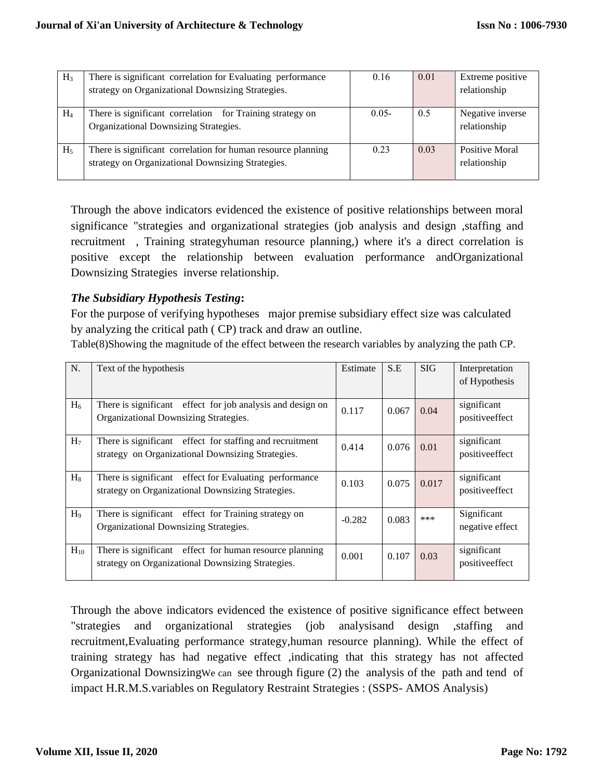| $H_3$          | There is significant correlation for Evaluating performance  | 0.16     | 0.01 | Extreme positive |
|----------------|--------------------------------------------------------------|----------|------|------------------|
|                | strategy on Organizational Downsizing Strategies.            |          |      | relationship     |
|                |                                                              |          |      |                  |
| $H_4$          | There is significant correlation for Training strategy on    | $0.05 -$ | 0.5  | Negative inverse |
|                | Organizational Downsizing Strategies.                        |          |      | relationship     |
|                |                                                              |          |      |                  |
| H <sub>5</sub> | There is significant correlation for human resource planning | 0.23     | 0.03 | Positive Moral   |
|                | strategy on Organizational Downsizing Strategies.            |          |      | relationship     |
|                |                                                              |          |      |                  |

Through the above indicators evidenced the existence of positive relationships between moral significance "strategies and organizational strategies (job analysis and design ,staffing and recruitment , Training strategyhuman resource planning,) where it's a direct correlation is positive except the relationship between evaluation performance andOrganizational Downsizing Strategies inverse relationship.

## *The Subsidiary Hypothesis Testing***:**

For the purpose of verifying hypotheses major premise subsidiary effect size was calculated by analyzing the critical path ( CP) track and draw an outline.

Table(8)Showing the magnitude of the effect between the research variables by analyzing the path CP.

| N.             | Text of the hypothesis                                                                                        | Estimate | S.E   | <b>SIG</b> | Interpretation<br>of Hypothesis |
|----------------|---------------------------------------------------------------------------------------------------------------|----------|-------|------------|---------------------------------|
| $H_6$          | There is significant effect for job analysis and design on<br>Organizational Downsizing Strategies.           | 0.117    | 0.067 | 0.04       | significant<br>positiveeffect   |
| H <sub>7</sub> | There is significant effect for staffing and recruitment<br>strategy on Organizational Downsizing Strategies. | 0.414    | 0.076 | 0.01       | significant<br>positiveeffect   |
| $H_8$          | There is significant effect for Evaluating performance<br>strategy on Organizational Downsizing Strategies.   | 0.103    | 0.075 | 0.017      | significant<br>positiveeffect   |
| H <sub>9</sub> | There is significant effect for Training strategy on<br>Organizational Downsizing Strategies.                 | $-0.282$ | 0.083 | ***        | Significant<br>negative effect  |
| $H_{10}$       | There is significant effect for human resource planning<br>strategy on Organizational Downsizing Strategies.  | 0.001    | 0.107 | 0.03       | significant<br>positiveeffect   |

Through the above indicators evidenced the existence of positive significance effect between "strategies and organizational strategies (job analysisand design ,staffing and recruitment,Evaluating performance strategy,human resource planning). While the effect of training strategy has had negative effect ,indicating that this strategy has not affected Organizational DownsizingWe can see through figure (2) the analysis of the path and tend of impact H.R.M.S.variables on Regulatory Restraint Strategies : (SSPS- AMOS Analysis)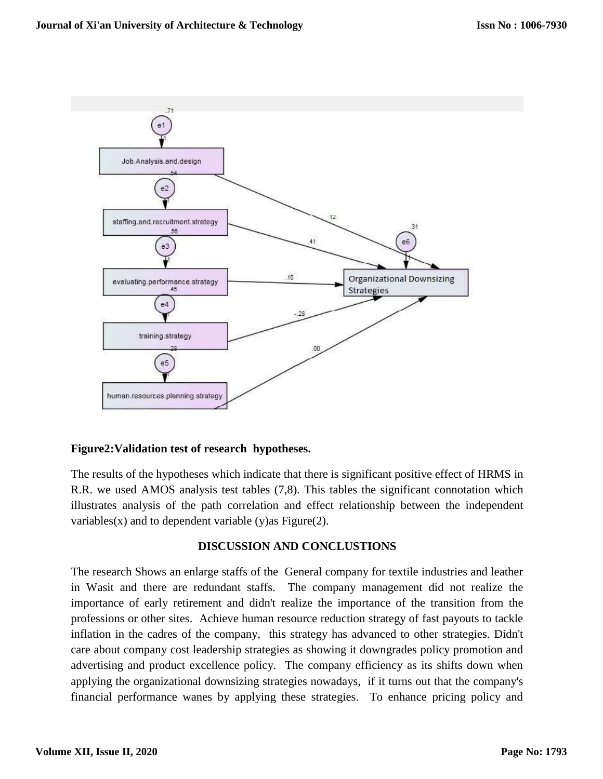

## **Figure2:Validation test of research hypotheses.**

The results of the hypotheses which indicate that there is significant positive effect of HRMS in R.R. we used AMOS analysis test tables (7,8). This tables the significant connotation which illustrates analysis of the path correlation and effect relationship between the independent variables(x) and to dependent variable (y) as Figure  $(2)$ .

## **DISCUSSION AND CONCLUSTIONS**

The research Shows an enlarge staffs of the General company for textile industries and leather in Wasit and there are redundant staffs. The company management did not realize the importance of early retirement and didn't realize the importance of the transition from the professions or other sites. Achieve human resource reduction strategy of fast payouts to tackle inflation in the cadres of the company, this strategy has advanced to other strategies. Didn't care about company cost leadership strategies as showing it downgrades policy promotion and advertising and product excellence policy. The company efficiency as its shifts down when applying the organizational downsizing strategies nowadays, if it turns out that the company's financial performance wanes by applying these strategies. To enhance pricing policy and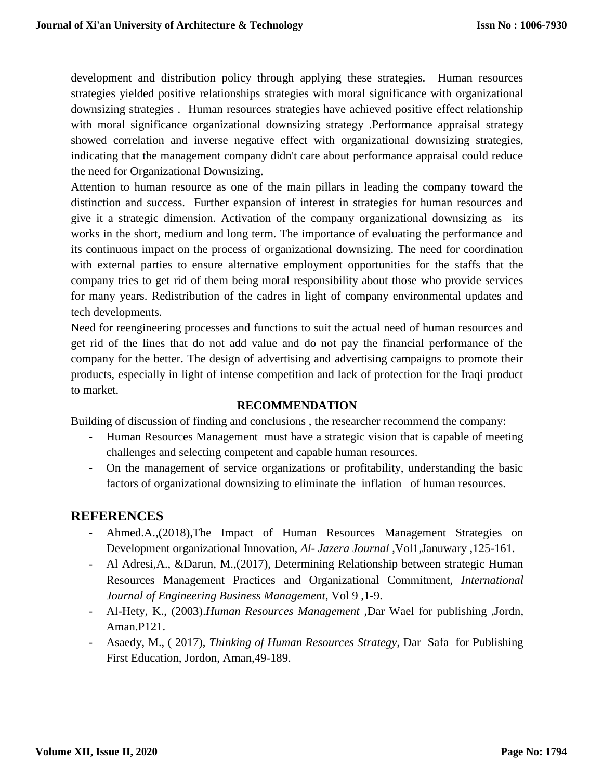development and distribution policy through applying these strategies. Human resources strategies yielded positive relationships strategies with moral significance with organizational downsizing strategies . Human resources strategies have achieved positive effect relationship with moral significance organizational downsizing strategy .Performance appraisal strategy showed correlation and inverse negative effect with organizational downsizing strategies, indicating that the management company didn't care about performance appraisal could reduce the need for Organizational Downsizing.

Attention to human resource as one of the main pillars in leading the company toward the distinction and success. Further expansion of interest in strategies for human resources and give it a strategic dimension. Activation of the company organizational downsizing as its works in the short, medium and long term. The importance of evaluating the performance and its continuous impact on the process of organizational downsizing. The need for coordination with external parties to ensure alternative employment opportunities for the staffs that the company tries to get rid of them being moral responsibility about those who provide services for many years. Redistribution of the cadres in light of company environmental updates and tech developments.

Need for reengineering processes and functions to suit the actual need of human resources and get rid of the lines that do not add value and do not pay the financial performance of the company for the better. The design of advertising and advertising campaigns to promote their products, especially in light of intense competition and lack of protection for the Iraqi product to market.

## **RECOMMENDATION**

Building of discussion of finding and conclusions , the researcher recommend the company:

- Human Resources Management must have a strategic vision that is capable of meeting challenges and selecting competent and capable human resources.
- On the management of service organizations or profitability, understanding the basic factors of organizational downsizing to eliminate the inflation of human resources.

# **REFERENCES**

- Ahmed.A.,(2018),The Impact of Human Resources Management Strategies on Development organizational Innovation, *Al- Jazera Journal* ,Vol1,Januwary ,125-161.
- Al Adresi,A., &Darun, M.,(2017), Determining Relationship between strategic Human Resources Management Practices and Organizational Commitment, *International Journal of Engineering Business Management*, Vol 9 ,1-9.
- Al-Hety, K., (2003).*Human Resources Management* ,Dar Wael for publishing ,Jordn, Aman.P121.
- Asaedy, M., ( 2017), *Thinking of Human Resources Strategy*, Dar Safa for Publishing First Education, Jordon, Aman,49-189.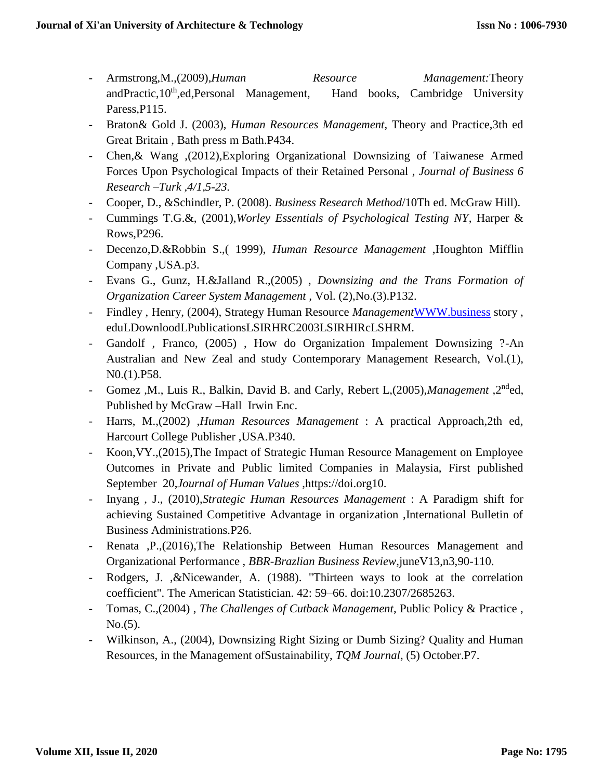- Armstrong,M.,(2009),*Human Resource Management:*Theory andPractic,10<sup>th</sup>,ed,Personal Management, Hand books, Cambridge University Paress,P115.
- Braton& Gold J. (2003), *Human Resources Management*, Theory and Practice,3th ed Great Britain , Bath press m Bath.P434.
- Chen,& Wang ,(2012),Exploring Organizational Downsizing of Taiwanese Armed Forces Upon Psychological Impacts of their Retained Personal , *Journal of Business 6 Research –Turk ,4/1,5-23.*
- Cooper, D., &Schindler, P. (2008). *Business Research Method*/10Th ed. McGraw Hill).
- Cummings T.G.&, (2001),*Worley Essentials of Psychological Testing NY*, Harper & Rows,P296.
- Decenzo,D.&Robbin S.,( 1999), *Human Resource Management* ,Houghton Mifflin Company ,USA.p3.
- Evans G., Gunz, H.&Jalland R.,(2005) , *Downsizing and the Trans Formation of Organization Career System Management ,* Vol. (2),No.(3).P132.
- Findley , Henry, (2004), Strategy Human Resource *Management*[WWW.business](http://www.business/) story , eduLDownloodLPublicationsLSIRHRC2003LSIRHIRcLSHRM.
- Gandolf , Franco, (2005) , How do Organization Impalement Downsizing ?-An Australian and New Zeal and study Contemporary Management Research, Vol.(1), N0.(1).P58.
- Gomez ,M., Luis R., Balkin, David B. and Carly, Rebert L,(2005),*Management* ,2nded, Published by McGraw –Hall Irwin Enc.
- Harrs, M.,(2002) ,*Human Resources Management* : A practical Approach,2th ed, Harcourt College Publisher ,USA.P340.
- Koon,VY.,(2015),The Impact of Strategic Human Resource Management on Employee Outcomes in Private and Public limited Companies in Malaysia, First published September 20,*Journal of Human Values* ,https://doi.org10.
- Inyang , J., (2010),*Strategic Human Resources Management* : A Paradigm shift for achieving Sustained Competitive Advantage in organization ,International Bulletin of Business Administrations.P26.
- Renata ,P.,(2016),The Relationship Between Human Resources Management and Organizational Performance , *BBR-Brazlian Business Review*,juneV13,n3,90-110.
- Rodgers, J. ,&Nicewander, A. (1988). "Thirteen ways to look at the correlation coefficient". The American Statistician. 42: 59–66. doi:10.2307/2685263.
- Tomas, C.,(2004) , *The Challenges of Cutback Management*, Public Policy & Practice , No.(5).
- Wilkinson, A., (2004), Downsizing Right Sizing or Dumb Sizing? Quality and Human Resources, in the Management ofSustainability, *TQM Journal*, (5) October.P7.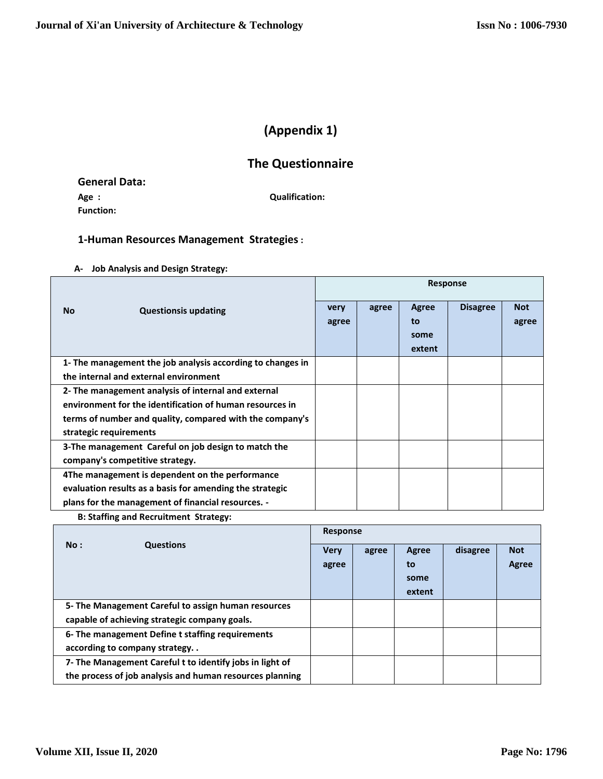# **(Appendix 1)**

# **The Questionnaire**

**General Data: Age : Qualification: Function:**

# **1-Human Resources Management Strategies:**

#### **A- Job Analysis and Design Strategy:**

|                                                            | <b>Response</b> |       |        |                 |            |
|------------------------------------------------------------|-----------------|-------|--------|-----------------|------------|
| <b>No</b><br><b>Questionsis updating</b>                   | very            | agree | Agree  | <b>Disagree</b> | <b>Not</b> |
|                                                            | agree           |       | to     |                 | agree      |
|                                                            |                 |       | some   |                 |            |
|                                                            |                 |       | extent |                 |            |
| 1- The management the job analysis according to changes in |                 |       |        |                 |            |
| the internal and external environment                      |                 |       |        |                 |            |
| 2- The management analysis of internal and external        |                 |       |        |                 |            |
| environment for the identification of human resources in   |                 |       |        |                 |            |
| terms of number and quality, compared with the company's   |                 |       |        |                 |            |
| strategic requirements                                     |                 |       |        |                 |            |
| 3-The management Careful on job design to match the        |                 |       |        |                 |            |
| company's competitive strategy.                            |                 |       |        |                 |            |
| 4The management is dependent on the performance            |                 |       |        |                 |            |
| evaluation results as a basis for amending the strategic   |                 |       |        |                 |            |
| plans for the management of financial resources. -         |                 |       |        |                 |            |

 **B: Staffing and Recruitment Strategy:**

|                                                          | Response    |       |        |          |            |
|----------------------------------------------------------|-------------|-------|--------|----------|------------|
| No:<br><b>Questions</b>                                  | <b>Very</b> | agree | Agree  | disagree | <b>Not</b> |
|                                                          | agree       |       | to     |          | Agree      |
|                                                          |             |       | some   |          |            |
|                                                          |             |       | extent |          |            |
| 5- The Management Careful to assign human resources      |             |       |        |          |            |
| capable of achieving strategic company goals.            |             |       |        |          |            |
| 6- The management Define t staffing requirements         |             |       |        |          |            |
| according to company strategy. .                         |             |       |        |          |            |
| 7- The Management Careful t to identify jobs in light of |             |       |        |          |            |
| the process of job analysis and human resources planning |             |       |        |          |            |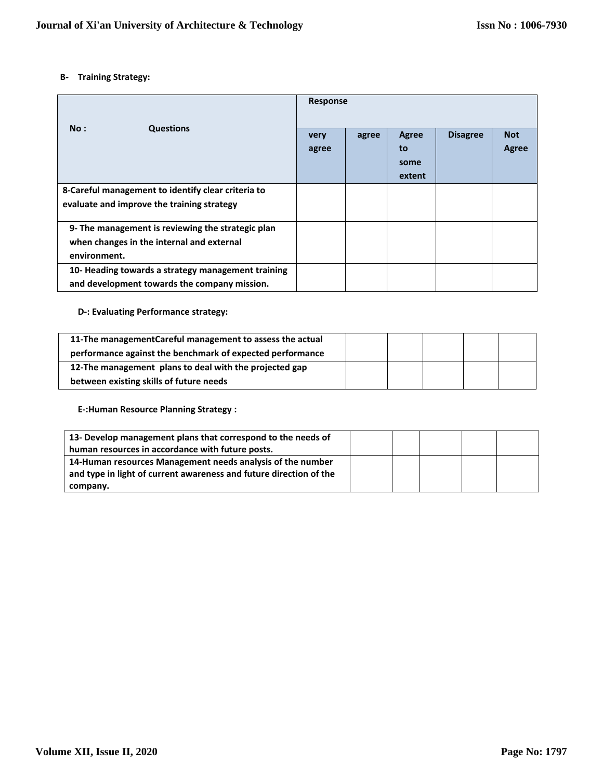#### **B- Training Strategy:**

|                                                                                                                | Response      |       |                                      |                 |                     |
|----------------------------------------------------------------------------------------------------------------|---------------|-------|--------------------------------------|-----------------|---------------------|
| No:<br><b>Questions</b>                                                                                        | very<br>agree | agree | <b>Agree</b><br>to<br>some<br>extent | <b>Disagree</b> | <b>Not</b><br>Agree |
| 8-Careful management to identify clear criteria to<br>evaluate and improve the training strategy               |               |       |                                      |                 |                     |
| 9- The management is reviewing the strategic plan<br>when changes in the internal and external<br>environment. |               |       |                                      |                 |                     |
| 10- Heading towards a strategy management training<br>and development towards the company mission.             |               |       |                                      |                 |                     |

#### **D-: Evaluating Performance strategy:**

| 11-The managementCareful management to assess the actual  |  |  |  |
|-----------------------------------------------------------|--|--|--|
| performance against the benchmark of expected performance |  |  |  |
| 12-The management plans to deal with the projected gap    |  |  |  |
| between existing skills of future needs                   |  |  |  |

**E-:Human Resource Planning Strategy :**

| 13- Develop management plans that correspond to the needs of       |  |  |  |
|--------------------------------------------------------------------|--|--|--|
| human resources in accordance with future posts.                   |  |  |  |
| 14-Human resources Management needs analysis of the number         |  |  |  |
| and type in light of current awareness and future direction of the |  |  |  |
| company.                                                           |  |  |  |